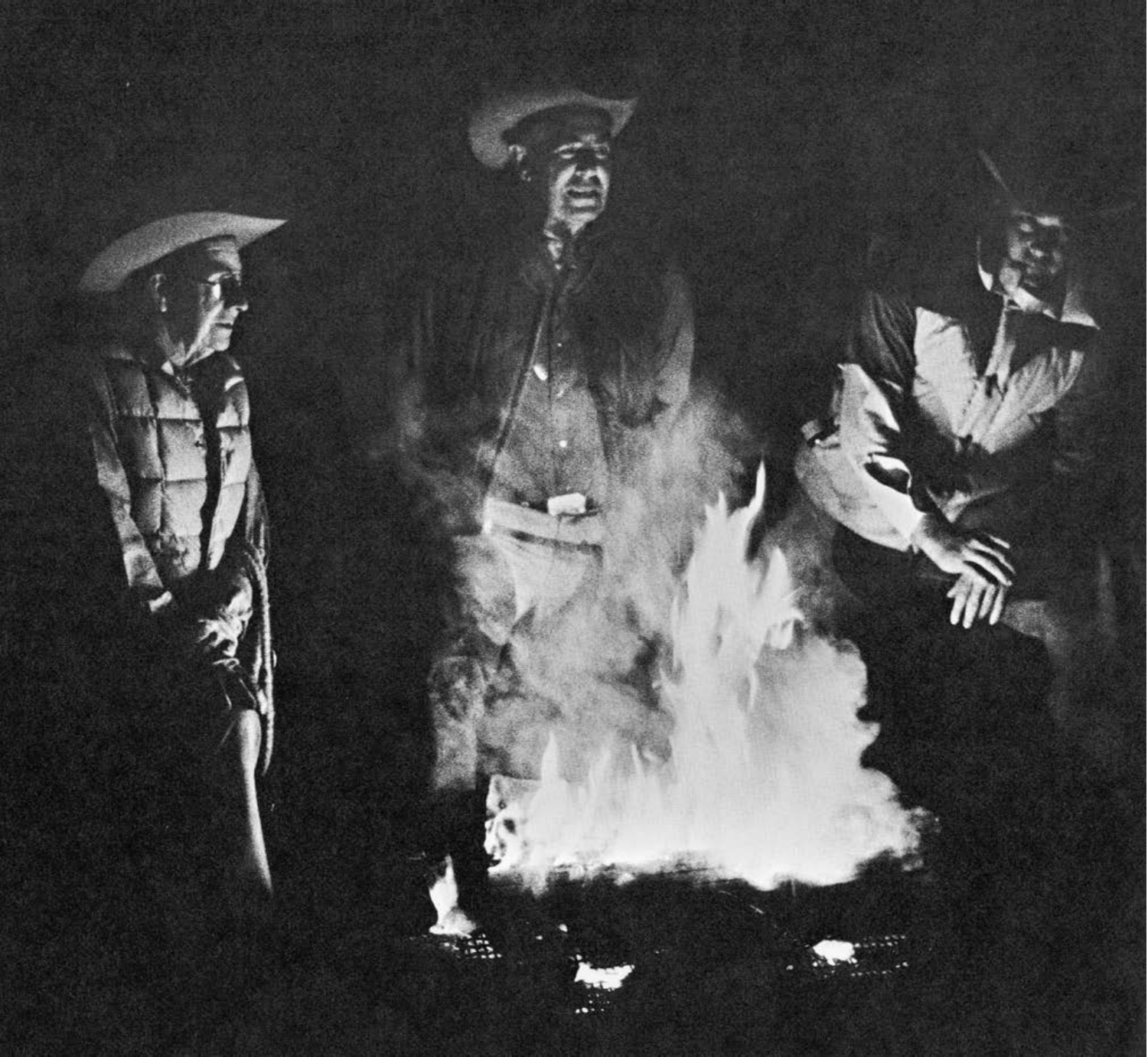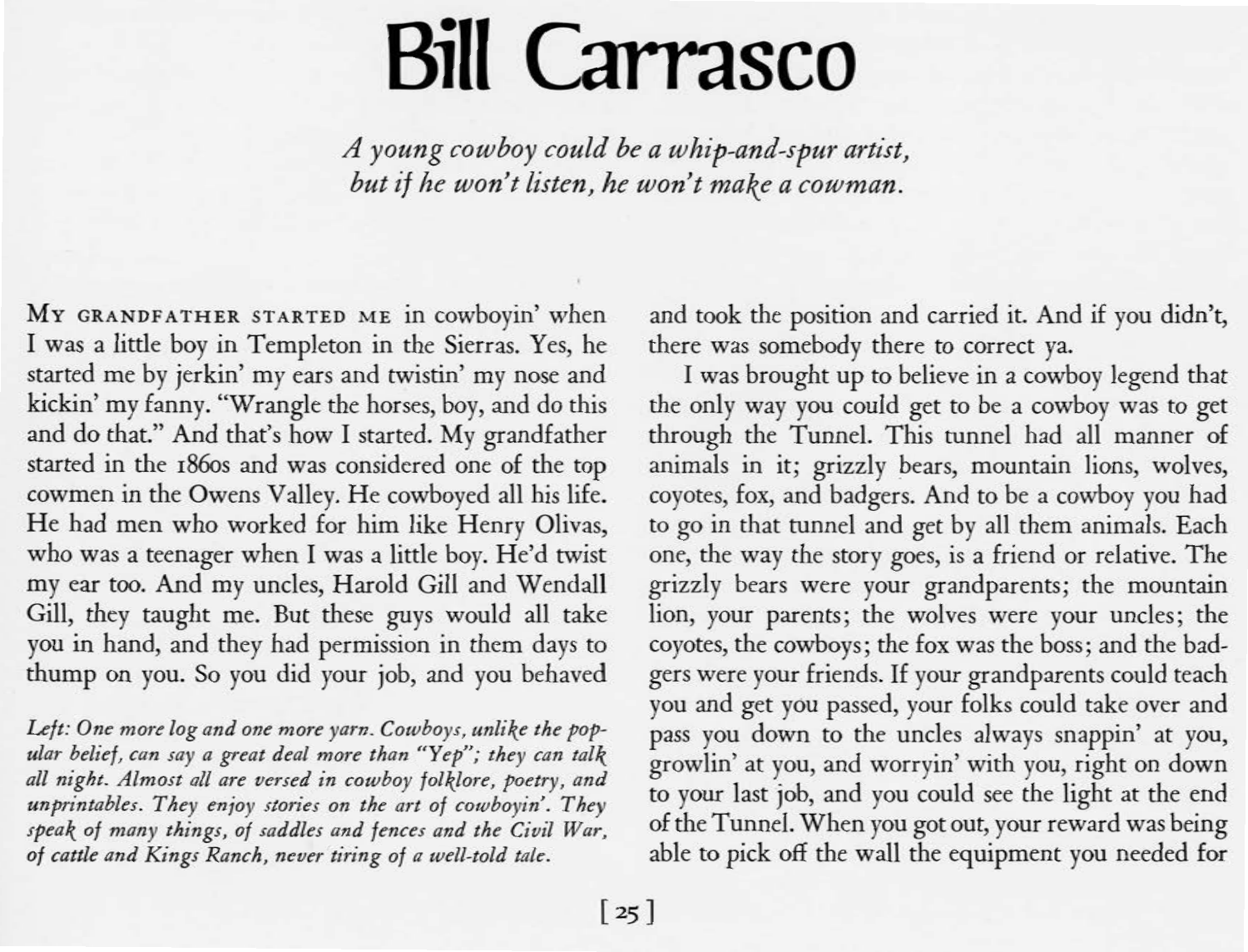## **Bill Carrasco**

A young cowboy could be a whip-and-spur artist, but if he won't listen, he won't make a cowman.

MY GRANDFATHER STARTED ME in cowboyin' when I was a little boy in Templeton in the Sierras. Yes, he started me by jerkin' my ears and twistin' my nose and kickin' my fanny. "Wrangle the horses, boy, and do this and do that." And that's how I started. My grandfather started in the 1860s and was considered one of the top cowmen in the Owens Valley. He cowboyed all his life. He had men who worked for him like Henry Olivas, who was a teenager when I was a little boy. He'd twist my ear too. And my uncles, Harold Gill and Wendall Gill, they taught me. But these guys would all take you in hand, and they had permission in them days to thump on you. So you did your job, and you behaved

Left: One more log and one more yarn. Cowboys, unlike the popular belief, can say a great deal more than "Yep"; they can talk all night. Almost all are versed in cowboy folklore, poetry, and unprintables. They enjoy stories on the art of cowboyin'. They speak of many things, of saddles and fences and the Civil War, of cattle and Kings Ranch, never tiring of a well-told tale.

and took the position and carried it. And if you didn't, there was somebody there to correct ya.

I was brought up to believe in a cowboy legend that the only way you could get to be a cowboy was to get through the Tunnel. This tunnel had all manner of animals in it; grizzly bears, mountain lions, wolves, coyotes, fox, and badgers. And to be a cowboy you had to go in that tunnel and get by all them animals. Each one, the way the story goes, is a friend or relative. The grizzly bears were your grandparents; the mountain lion, your parents; the wolves were your uncles; the coyotes, the cowboys; the fox was the boss; and the badgers were your friends. If your grandparents could teach you and get you passed, your folks could take over and pass you down to the uncles always snappin' at you, growlin' at you, and worryin' with you, right on down to your last job, and you could see the light at the end of the Tunnel. When you got out, your reward was being able to pick off the wall the equipment you needed for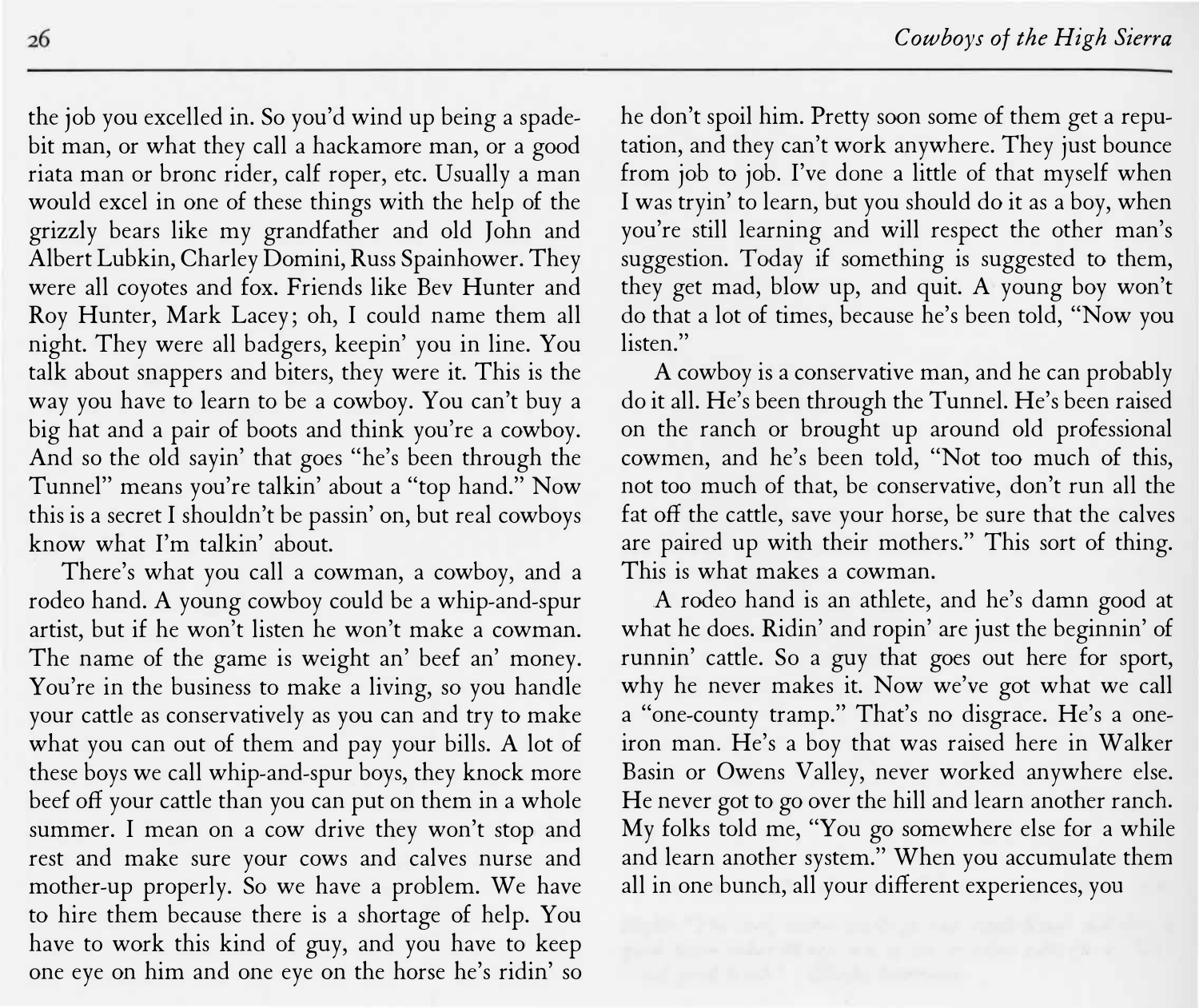the job you excelled in. So you'd wind up being a spadebit man, or what they call a hackamore man, or a good riata man or bronc rider, calf roper, etc. Usually a man would excel in one of these things with the help of the grizzly bears like my grandfather and old John and Albert Lubkin, Charley Domini, Russ Spainhower. They were all coyotes and fox. Friends like Bev Hunter and Roy Hunter, Mark Lacey; oh, I could name them all night. They were all badgers, keepin' you in line. You talk about snappers and biters, they were it. This is the way you have to learn to be a cowboy. You can't buy a big hat and a pair of boots and think you're a cowboy. And so the old sayin' that goes "he's been through the Tunnel" means you're talkin' about a "top hand." Now this is a secret I shouldn't be passin' on, but real cowboys know what I'm talkin' about.

There's what you call a cowman, a cowboy, and a rodeo hand. A young cowboy could be a whip-and-spur artist, but if he won't listen he won't make a cowman. The name of the game is weight an' beef an' money. You're in the business to make a living, so you handle your cattle as conservatively as you can and try to make what you can out of them and pay your bills. A lot of these boys we call whip-and-spur boys, they knock more beef off your cattle than you can put on them in a whole summer. I mean on a cow drive they won't stop and rest and make sure your cows and calves nurse and mother-up properly. So we have a problem. We have to hire them because there is a shortage of help. You have to work this kind of guy, and you have to keep one eye on him and one eye on the horse he's ridin' so

he don't spoil him. Pretty soon some of them get a reputation, and they can't work anywhere. They just bounce from job to job. I've done a little of that myself when I was tryin' to learn, but you should do it as a boy, when you're still learning and will respect the other man's suggestion. Today if something is suggested to them, they get mad, blow up, and quit. A young boy won't do that a lot of times, because he's been told, "Now you listen."

A cowboy is a conservative man, and he can probably do it all. He's been through the Tunnel. He's been raised on the ranch or brought up around old professional cowmen, and he's been told, "Not too much of this, not too much of that, be conservative, don't run all the fat off the cattle, save your horse, be sure that the calves are paired up with their mothers." This sort of thing. This is what makes a cowman.

A rodeo hand is an athlete, and he's damn good at what he does. Ridin' and ropin' are just the beginnin' of runnin' cattle. So a guy that goes out here for sport, why he never makes it. Now we've got what we call a "one-county tramp." That's no disgrace. He's a oneiron man. He's a boy that was raised here in Walker Basin or Owens Valley, never worked anywhere else. He never got to go over the hill and learn another ranch. My folks told me, "You go somewhere else for a while and learn another system." When you accumulate them all in one bunch, all your different experiences, you